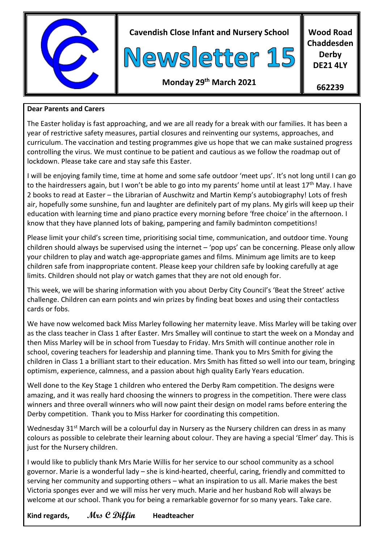

**Cavendish Close Infant and Nursery School**



**Wood Road Chaddesden Derby DE21 4LY**

# **Monday 29th March 2021**

**662239**

#### **Dear Parents and Carers**

The Easter holiday is fast approaching, and we are all ready for a break with our families. It has been a year of restrictive safety measures, partial closures and reinventing our systems, approaches, and curriculum. The vaccination and testing programmes give us hope that we can make sustained progress controlling the virus. We must continue to be patient and cautious as we follow the roadmap out of lockdown. Please take care and stay safe this Easter.

I will be enjoying family time, time at home and some safe outdoor 'meet ups'. It's not long until I can go to the hairdressers again, but I won't be able to go into my parents' home until at least 17<sup>th</sup> May. I have 2 books to read at Easter – the Librarian of Auschwitz and Martin Kemp's autobiography! Lots of fresh air, hopefully some sunshine, fun and laughter are definitely part of my plans. My girls will keep up their education with learning time and piano practice every morning before 'free choice' in the afternoon. I know that they have planned lots of baking, pampering and family badminton competitions!

Please limit your child's screen time, prioritising social time, communication, and outdoor time. Young children should always be supervised using the internet – 'pop ups' can be concerning. Please only allow your children to play and watch age-appropriate games and films. Minimum age limits are to keep children safe from inappropriate content. Please keep your children safe by looking carefully at age limits. Children should not play or watch games that they are not old enough for.

This week, we will be sharing information with you about Derby City Council's 'Beat the Street' active challenge. Children can earn points and win prizes by finding beat boxes and using their contactless cards or fobs.

We have now welcomed back Miss Marley following her maternity leave. Miss Marley will be taking over as the class teacher in Class 1 after Easter. Mrs Smalley will continue to start the week on a Monday and then Miss Marley will be in school from Tuesday to Friday. Mrs Smith will continue another role in school, covering teachers for leadership and planning time. Thank you to Mrs Smith for giving the children in Class 1 a brilliant start to their education. Mrs Smith has fitted so well into our team, bringing optimism, experience, calmness, and a passion about high quality Early Years education.

Well done to the Key Stage 1 children who entered the Derby Ram competition. The designs were amazing, and it was really hard choosing the winners to progress in the competition. There were class winners and three overall winners who will now paint their design on model rams before entering the Derby competition. Thank you to Miss Harker for coordinating this competition.

Wednesday 31<sup>st</sup> March will be a colourful day in Nursery as the Nursery children can dress in as many colours as possible to celebrate their learning about colour. They are having a special 'Elmer' day. This is just for the Nursery children.

I would like to publicly thank Mrs Marie Willis for her service to our school community as a school governor. Marie is a wonderful lady – she is kind-hearted, cheerful, caring, friendly and committed to serving her community and supporting others – what an inspiration to us all. Marie makes the best Victoria sponges ever and we will miss her very much. Marie and her husband Rob will always be welcome at our school. Thank you for being a remarkable governor for so many years. Take care.

**Kind regards, Mrs C Diffin Headteacher**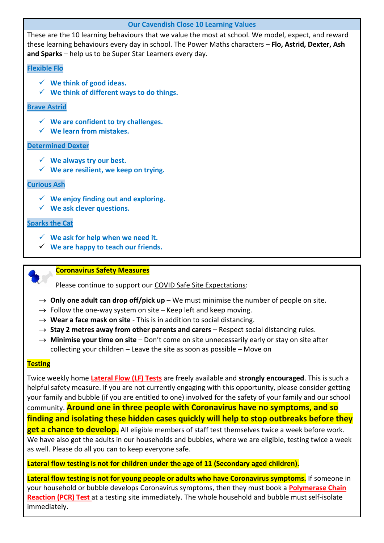| <b>Our Cavendish Close 10 Learning Values</b>                                                                                                                                                                                                                            |
|--------------------------------------------------------------------------------------------------------------------------------------------------------------------------------------------------------------------------------------------------------------------------|
| These are the 10 learning behaviours that we value the most at school. We model, expect, and reward<br>these learning behaviours every day in school. The Power Maths characters - Flo, Astrid, Dexter, Ash<br>and Sparks - help us to be Super Star Learners every day. |
| <b>Flexible Flo</b>                                                                                                                                                                                                                                                      |
| $\checkmark$ We think of good ideas.<br>$\checkmark$ We think of different ways to do things.                                                                                                                                                                            |
| <b>Brave Astrid</b>                                                                                                                                                                                                                                                      |
| $\checkmark$ We are confident to try challenges.<br>$\checkmark$ We learn from mistakes.                                                                                                                                                                                 |
| <b>Determined Dexter</b>                                                                                                                                                                                                                                                 |
| $\checkmark$ We always try our best.<br>$\checkmark$ We are resilient, we keep on trying.                                                                                                                                                                                |
| <b>Curious Ash</b>                                                                                                                                                                                                                                                       |
| $\checkmark$ We enjoy finding out and exploring.<br>$\checkmark$ We ask clever questions.                                                                                                                                                                                |
| <b>Sparks the Cat</b>                                                                                                                                                                                                                                                    |
| $\checkmark$ We ask for help when we need it.                                                                                                                                                                                                                            |

**We are happy to teach our friends.**

#### **Coronavirus Safety Measures**

Please continue to support our COVID Safe Site Expectations:

- $\rightarrow$  **Only one adult can drop off/pick up** We must minimise the number of people on site.
- $\rightarrow$  Follow the one-way system on site Keep left and keep moving.
- $\rightarrow$  Wear a face mask on site This is in addition to social distancing.
- $\rightarrow$  Stay 2 metres away from other parents and carers Respect social distancing rules.
- → **Minimise your time on site** Don't come on site unnecessarily early or stay on site after collecting your children – Leave the site as soon as possible – Move on

#### **Testing**

Twice weekly home **Lateral Flow (LF) Tests** are freely available and **strongly encouraged**. This is such a helpful safety measure. If you are not currently engaging with this opportunity, please consider getting your family and bubble (if you are entitled to one) involved for the safety of your family and our school community. **Around one in three people with Coronavirus have no symptoms, and so finding and isolating these hidden cases quickly will help to stop outbreaks before they get a chance to develop.** All eligible members of staff test themselves twice a week before work. We have also got the adults in our households and bubbles, where we are eligible, testing twice a week as well. Please do all you can to keep everyone safe.

#### **Lateral flow testing is not for children under the age of 11 (Secondary aged children).**

**Lateral flow testing is not for young people or adults who have Coronavirus symptoms.** If someone in your household or bubble develops Coronavirus symptoms, then they must book a **Polymerase Chain Reaction (PCR) Test** at a testing site immediately. The whole household and bubble must self-isolate immediately.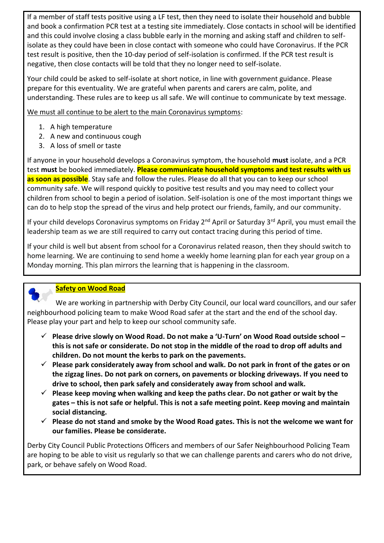If a member of staff tests positive using a LF test, then they need to isolate their household and bubble and book a confirmation PCR test at a testing site immediately. Close contacts in school will be identified and this could involve closing a class bubble early in the morning and asking staff and children to selfisolate as they could have been in close contact with someone who could have Coronavirus. If the PCR test result is positive, then the 10-day period of self-isolation is confirmed. If the PCR test result is negative, then close contacts will be told that they no longer need to self-isolate.

Your child could be asked to self-isolate at short notice, in line with government guidance. Please prepare for this eventuality. We are grateful when parents and carers are calm, polite, and understanding. These rules are to keep us all safe. We will continue to communicate by text message.

We must all continue to be alert to the main Coronavirus symptoms:

- 1. A high temperature
- 2. A new and continuous cough
- 3. A loss of smell or taste

If anyone in your household develops a Coronavirus symptom, the household **must** isolate, and a PCR test **must** be booked immediately. **Please communicate household symptoms and test results with us as soon as possible**. Stay safe and follow the rules. Please do all that you can to keep our school community safe. We will respond quickly to positive test results and you may need to collect your children from school to begin a period of isolation. Self-isolation is one of the most important things we can do to help stop the spread of the virus and help protect our friends, family, and our community.

If your child develops Coronavirus symptoms on Friday 2<sup>nd</sup> April or Saturday 3<sup>rd</sup> April, you must email the leadership team as we are still required to carry out contact tracing during this period of time.

If your child is well but absent from school for a Coronavirus related reason, then they should switch to home learning. We are continuing to send home a weekly home learning plan for each year group on a Monday morning. This plan mirrors the learning that is happening in the classroom.



# **Safety on Wood Road**

 We are working in partnership with Derby City Council, our local ward councillors, and our safer neighbourhood policing team to make Wood Road safer at the start and the end of the school day. Please play your part and help to keep our school community safe.

- **Please drive slowly on Wood Road. Do not make a 'U-Turn' on Wood Road outside school – this is not safe or considerate. Do not stop in the middle of the road to drop off adults and children. Do not mount the kerbs to park on the pavements.**
- **Please park considerately away from school and walk. Do not park in front of the gates or on the zigzag lines. Do not park on corners, on pavements or blocking driveways. If you need to drive to school, then park safely and considerately away from school and walk.**
- **Please keep moving when walking and keep the paths clear. Do not gather or wait by the gates – this is not safe or helpful. This is not a safe meeting point. Keep moving and maintain social distancing.**
- **Please do not stand and smoke by the Wood Road gates. This is not the welcome we want for our families. Please be considerate.**

Derby City Council Public Protections Officers and members of our Safer Neighbourhood Policing Team are hoping to be able to visit us regularly so that we can challenge parents and carers who do not drive, park, or behave safely on Wood Road.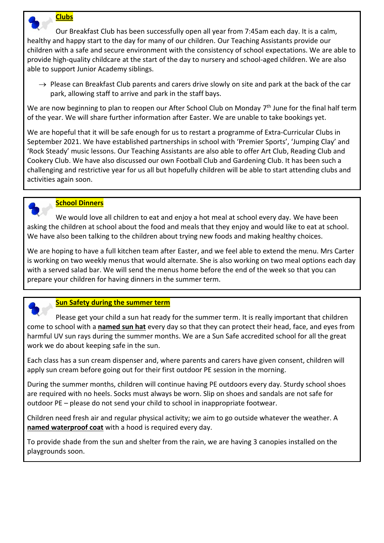

### **Clubs**

 Our Breakfast Club has been successfully open all year from 7:45am each day. It is a calm, healthy and happy start to the day for many of our children. Our Teaching Assistants provide our children with a safe and secure environment with the consistency of school expectations. We are able to provide high-quality childcare at the start of the day to nursery and school-aged children. We are also able to support Junior Academy siblings.

 $\rightarrow$  Please can Breakfast Club parents and carers drive slowly on site and park at the back of the car park, allowing staff to arrive and park in the staff bays.

We are now beginning to plan to reopen our After School Club on Monday 7<sup>th</sup> June for the final half term of the year. We will share further information after Easter. We are unable to take bookings yet.

We are hopeful that it will be safe enough for us to restart a programme of Extra-Curricular Clubs in September 2021. We have established partnerships in school with 'Premier Sports', 'Jumping Clay' and 'Rock Steady' music lessons. Our Teaching Assistants are also able to offer Art Club, Reading Club and Cookery Club. We have also discussed our own Football Club and Gardening Club. It has been such a challenging and restrictive year for us all but hopefully children will be able to start attending clubs and activities again soon.



### **School Dinners**

 We would love all children to eat and enjoy a hot meal at school every day. We have been asking the children at school about the food and meals that they enjoy and would like to eat at school. We have also been talking to the children about trying new foods and making healthy choices.

We are hoping to have a full kitchen team after Easter, and we feel able to extend the menu. Mrs Carter is working on two weekly menus that would alternate. She is also working on two meal options each day with a served salad bar. We will send the menus home before the end of the week so that you can prepare your children for having dinners in the summer term.



# **Sun Safety during the summer term**

 Please get your child a sun hat ready for the summer term. It is really important that children come to school with a **named sun hat** every day so that they can protect their head, face, and eyes from harmful UV sun rays during the summer months. We are a Sun Safe accredited school for all the great work we do about keeping safe in the sun.

Each class has a sun cream dispenser and, where parents and carers have given consent, children will apply sun cream before going out for their first outdoor PE session in the morning.

During the summer months, children will continue having PE outdoors every day. Sturdy school shoes are required with no heels. Socks must always be worn. Slip on shoes and sandals are not safe for outdoor PE – please do not send your child to school in inappropriate footwear.

Children need fresh air and regular physical activity; we aim to go outside whatever the weather. A **named waterproof coat** with a hood is required every day.

To provide shade from the sun and shelter from the rain, we are having 3 canopies installed on the playgrounds soon.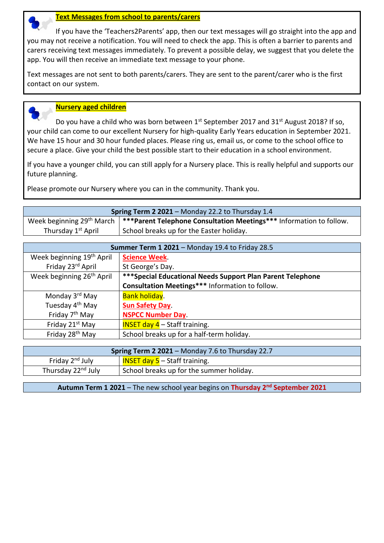

#### **Text Messages from school to parents/carers**

 If you have the 'Teachers2Parents' app, then our text messages will go straight into the app and you may not receive a notification. You will need to check the app. This is often a barrier to parents and carers receiving text messages immediately. To prevent a possible delay, we suggest that you delete the app. You will then receive an immediate text message to your phone.

Text messages are not sent to both parents/carers. They are sent to the parent/carer who is the first contact on our system.



#### **Nursery aged children**

Do you have a child who was born between  $1^{st}$  September 2017 and 31 $^{st}$  August 2018? If so, your child can come to our excellent Nursery for high-quality Early Years education in September 2021. We have 15 hour and 30 hour funded places. Please ring us, email us, or come to the school office to secure a place. Give your child the best possible start to their education in a school environment.

If you have a younger child, you can still apply for a Nursery place. This is really helpful and supports our future planning.

Please promote our Nursery where you can in the community. Thank you.

| <b>Spring Term 2 2021</b> – Monday 22.2 to Thursday 1.4 |                                                                                                                   |  |
|---------------------------------------------------------|-------------------------------------------------------------------------------------------------------------------|--|
|                                                         | Week beginning 29 <sup>th</sup> March $\vert$ ***Parent Telephone Consultation Meetings*** Information to follow. |  |
| Thursday 1 <sup>st</sup> April                          | School breaks up for the Easter holiday.                                                                          |  |

| Summer Term 1 2021 - Monday 19.4 to Friday 28.5 |                                                             |  |
|-------------------------------------------------|-------------------------------------------------------------|--|
| Week beginning 19 <sup>th</sup> April           | <b>Science Week.</b>                                        |  |
| Friday 23rd April                               | St George's Day.                                            |  |
| Week beginning 26 <sup>th</sup> April           | *** Special Educational Needs Support Plan Parent Telephone |  |
|                                                 | <b>Consultation Meetings*** Information to follow.</b>      |  |
| Monday 3 <sup>rd</sup> May                      | <b>Bank holiday.</b>                                        |  |
| Tuesday 4 <sup>th</sup> May                     | <b>Sun Safety Day.</b>                                      |  |
| Friday 7 <sup>th</sup> May                      | <b>NSPCC Number Day</b>                                     |  |
| Friday 21 <sup>st</sup> May                     | <b>INSET day 4</b> $-$ Staff training.                      |  |
| Friday 28 <sup>th</sup> May                     | School breaks up for a half-term holiday.                   |  |

| <b>Spring Term 2 2021 - Monday 7.6 to Thursday 22.7</b> |                                          |  |
|---------------------------------------------------------|------------------------------------------|--|
| Friday 2 <sup>nd</sup> July                             | <b>INSET day 5</b> – Staff training.     |  |
| Thursday 22 <sup>nd</sup> July                          | School breaks up for the summer holiday. |  |

**Autumn Term 1 2021** – The new school year begins on **Thursday 2nd September 2021**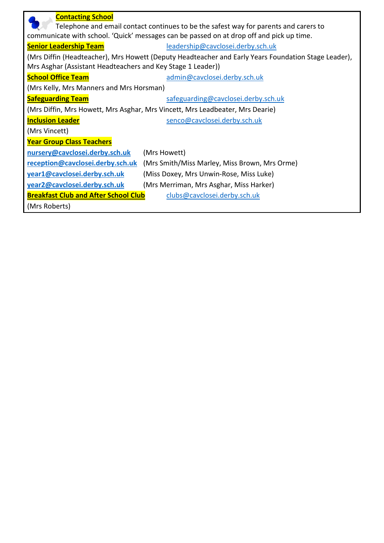| <b>Contacting School</b><br>Telephone and email contact continues to be the safest way for parents and carers to |                                               |  |  |  |
|------------------------------------------------------------------------------------------------------------------|-----------------------------------------------|--|--|--|
| communicate with school. 'Quick' messages can be passed on at drop off and pick up time.                         |                                               |  |  |  |
| <b>Senior Leadership Team</b>                                                                                    | leadership@cavclosei.derby.sch.uk             |  |  |  |
| (Mrs Diffin (Headteacher), Mrs Howett (Deputy Headteacher and Early Years Foundation Stage Leader),              |                                               |  |  |  |
| Mrs Asghar (Assistant Headteachers and Key Stage 1 Leader))                                                      |                                               |  |  |  |
| <b>School Office Team</b>                                                                                        | admin@cavclosei.derby.sch.uk                  |  |  |  |
| (Mrs Kelly, Mrs Manners and Mrs Horsman)                                                                         |                                               |  |  |  |
| <b>Safeguarding Team</b>                                                                                         | safeguarding@cavclosei.derby.sch.uk           |  |  |  |
| (Mrs Diffin, Mrs Howett, Mrs Asghar, Mrs Vincett, Mrs Leadbeater, Mrs Dearie)                                    |                                               |  |  |  |
| <b>Inclusion Leader</b>                                                                                          | senco@cavclosei.derby.sch.uk                  |  |  |  |
| (Mrs Vincett)                                                                                                    |                                               |  |  |  |
| <b>Year Group Class Teachers</b>                                                                                 |                                               |  |  |  |
| nursery@cavclosei.derby.sch.uk                                                                                   | (Mrs Howett)                                  |  |  |  |
| reception@cavclosei.derby.sch.uk                                                                                 | (Mrs Smith/Miss Marley, Miss Brown, Mrs Orme) |  |  |  |
| year1@cavclosei.derby.sch.uk                                                                                     | (Miss Doxey, Mrs Unwin-Rose, Miss Luke)       |  |  |  |
| year2@cavclosei.derby.sch.uk                                                                                     | (Mrs Merriman, Mrs Asghar, Miss Harker)       |  |  |  |
| <b>Breakfast Club and After School Club</b>                                                                      | clubs@cavclosei.derby.sch.uk                  |  |  |  |
| (Mrs Roberts)                                                                                                    |                                               |  |  |  |